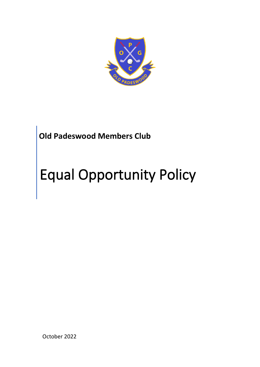

## **Old Padeswood Members Club**

# Equal Opportunity Policy

October 2022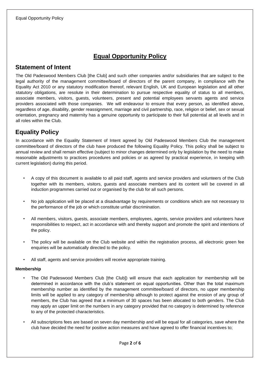## **Equal Opportunity Policy**

### **Statement of Intent**

The Old Padeswood Members Club [the Club] and such other companies and/or subsidiaries that are subject to the legal authority of the management committee/board of directors of the parent company, in compliance with the Equality Act 2010 or any statutory modification thereof, relevant English, UK and European legislation and all other statutory obligations, are resolute in their determination to pursue respective equality of status to all members, associate members, visitors, guests, volunteers, present and potential employees servants agents and service providers associated with those companies. We will endeavour to ensure that every person, as identified above, regardless of age, disability, gender reassignment, marriage and civil partnership, race, religion or belief, sex or sexual orientation, pregnancy and maternity has a genuine opportunity to participate to their full potential at all levels and in all roles within the Club.

## **Equality Policy**

In accordance with the Equality Statement of Intent agreed by Old Padeswood Members Club the management committee/board of directors of the club have produced the following Equality Policy. This policy shall be subject to annual review and shall remain effective (subject to minor changes determined only by legislation by the need to make reasonable adjustments to practices procedures and policies or as agreed by practical experience, in keeping with current legislation) during this period.

- A copy of this document is available to all paid staff, agents and service providers and volunteers of the Club together with its members, visitors, guests and associate members and its content will be covered in all induction programmes carried out or organised by the club for all such persons.
- No job application will be placed at a disadvantage by requirements or conditions which are not necessary to the performance of the job or which constitute unfair discrimination.
- All members, visitors, guests, associate members, employees, agents, service providers and volunteers have responsibilities to respect, act in accordance with and thereby support and promote the spirit and intentions of the policy.
- The policy will be available on the Club website and within the registration process, all electronic green fee enquiries will be automatically directed to the policy.
- All staff, agents and service providers will receive appropriate training.

#### **Membership**

- The Old Padeswood Members Club [the Club]) will ensure that each application for membership will be determined in accordance with the club's statement on equal opportunities. Other than the total maximum membership number as identified by the management committee/board of directors, no upper membership limits will be applied to any category of membership although to protect against the erosion of any group of members, the Club has agreed that a minimum of 30 spaces has been allocated to both genders. The Club may apply an upper limit on the numbers in any category provided that no category is determined by reference to any of the protected characteristics.
- All subscriptions fees are based on seven day membership and will be equal for all categories, save where the club have decided the need for positive action measures and have agreed to offer financial incentives to;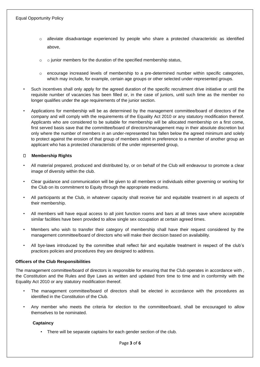- o alleviate disadvantage experienced by people who share a protected characteristic as identified above,
- $\circ$  o junior members for the duration of the specified membership status,
- $\circ$  encourage increased levels of membership to a pre-determined number within specific categories, which may include, for example, certain age groups or other selected under-represented groups.
- Such incentives shall only apply for the agreed duration of the specific recruitment drive initiative or until the requisite number of vacancies has been filled or, in the case of juniors, until such time as the member no longer qualifies under the age requirements of the junior section.
- Applications for membership will be as determined by the management committee/board of directors of the company and will comply with the requirements of the Equality Act 2010 or any statutory modification thereof. Applicants who are considered to be suitable for membership will be allocated membership on a first come, first served basis save that the committee/board of directors/management may in their absolute discretion but only where the number of members in an under-represented has fallen below the agreed minimum and solely to protect against the erosion of that group of members admit in preference to a member of another group an applicant who has a protected characteristic of the under represented group,

#### **Membership Rights**

- All material prepared, produced and distributed by, or on behalf of the Club will endeavour to promote a clear image of diversity within the club.
- Clear guidance and communication will be given to all members or individuals either governing or working for the Club on its commitment to Equity through the appropriate mediums.
- All participants at the Club, in whatever capacity shall receive fair and equitable treatment in all aspects of their membership.
- All members will have equal access to all joint function rooms and bars at all times save where acceptable similar facilities have been provided to allow single sex occupation at certain agreed times.
- Members who wish to transfer their category of membership shall have their request considered by the management committee/board of directors who will make their decision based on availability.
- All bye-laws introduced by the committee shall reflect fair and equitable treatment in respect of the club's practices policies and procedures they are designed to address.

#### **Officers of the Club Responsibilities**

The management committee/board of directors is responsible for ensuring that the Club operates in accordance with , the Constitution and the Rules and Bye Laws as written and updated from time to time and in conformity with the Equality Act 2010 or any statutory modification thereof.

- The management committee/board of directors shall be elected in accordance with the procedures as identified in the Constitution of the Club.
- Any member who meets the criteria for election to the committee/board, shall be encouraged to allow themselves to be nominated.

#### **Captaincy**

• There will be separate captains for each gender section of the club.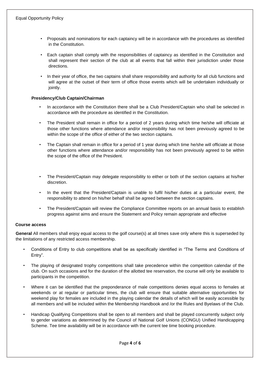- Proposals and nominations for each captaincy will be in accordance with the procedures as identified in the Constitution.
- Each captain shall comply with the responsibilities of captaincy as identified in the Constitution and shall represent their section of the club at all events that fall within their jurisdiction under those directions.
- In their year of office, the two captains shall share responsibility and authority for all club functions and will agree at the outset of their term of office those events which will be undertaken individually or jointly.

#### **Presidency/Club Captain/Chairman**

- In accordance with the Constitution there shall be a Club President/Captain who shall be selected in accordance with the procedure as identified in the Constitution.
- The President shall remain in office for a period of 2 years during which time he/she will officiate at those other functions where attendance and/or responsibility has not been previously agreed to be within the scope of the office of either of the two section captains.
- The Captain shall remain in office for a period of 1 year during which time he/she will officiate at those other functions where attendance and/or responsibility has not been previously agreed to be within the scope of the office of the President.
- The President/Captain may delegate responsibility to either or both of the section captains at his/her discretion.
- In the event that the President/Captain is unable to fulfil his/her duties at a particular event, the responsibility to attend on his/her behalf shall be agreed between the section captains.
- The President/Captain will review the Compliance Committee reports on an annual basis to establish progress against aims and ensure the Statement and Policy remain appropriate and effective

#### **Course access**

**General** All members shall enjoy equal access to the golf course(s) at all times save only where this is superseded by the limitations of any restricted access membership.

- Conditions of Entry to club competitions shall be as specifically identified in "The Terms and Conditions of Entry".
- The playing of designated trophy competitions shall take precedence within the competition calendar of the club. On such occasions and for the duration of the allotted tee reservation, the course will only be available to participants in the competition.
- Where it can be identified that the preponderance of male competitions denies equal access to females at weekends or at regular or particular times, the club will ensure that suitable alternative opportunities for weekend play for females are included in the playing calendar the details of which will be easily accessible by all members and will be included within the Membership Handbook and /or the Rules and Byelaws of the Club.
- Handicap Qualifying Competitions shall be open to all members and shall be played concurrently subject only to gender variations as determined by the Council of National Golf Unions (CONGU) Unified Handicapping Scheme. Tee time availability will be in accordance with the current tee time booking procedure.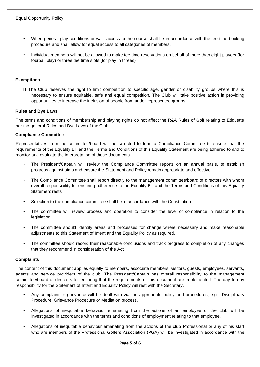- When general play conditions prevail, access to the course shall be in accordance with the tee time booking procedure and shall allow for equal access to all categories of members.
- Individual members will not be allowed to make tee time reservations on behalf of more than eight players (for fourball play) or three tee time slots (for play in threes).

#### **Exemptions**

The Club reserves the right to limit competition to specific age, gender or disability groups where this is necessary to ensure equitable, safe and equal competition. The Club will take positive action in providing opportunities to increase the inclusion of people from under-represented groups.

#### **Rules and Bye Laws**

The terms and conditions of membership and playing rights do not affect the R&A Rules of Golf relating to Etiquette nor the general Rules and Bye Laws of the Club.

#### **Compliance Committee**

Representatives from the committee/board will be selected to form a Compliance Committee to ensure that the requirements of the Equality Bill and the Terms and Conditions of this Equality Statement are being adhered to and to monitor and evaluate the interpretation of these documents.

- The President/Captain will review the Compliance Committee reports on an annual basis, to establish progress against aims and ensure the Statement and Policy remain appropriate and effective.
- The Compliance Committee shall report directly to the management committee/board of directors with whom overall responsibility for ensuring adherence to the Equality Bill and the Terms and Conditions of this Equality Statement rests.
- Selection to the compliance committee shall be in accordance with the Constitution.
- The committee will review process and operation to consider the level of compliance in relation to the legislation.
- The committee should identify areas and processes for change where necessary and make reasonable adjustments to this Statement of Intent and the Equality Policy as required.
- The committee should record their reasonable conclusions and track progress to completion of any changes that they recommend in consideration of the Act.

#### **Complaints**

The content of this document applies equally to members, associate members, visitors, guests, employees, servants, agents and service providers of the club. The President/Captain has overall responsibility to the management committee/board of directors for ensuring that the requirements of this document are implemented. The day to day responsibility for the Statement of Intent and Equality Policy will rest with the Secretary.

- Any complaint or grievance will be dealt with via the appropriate policy and procedures, e.g. Disciplinary Procedure, Grievance Procedure or Mediation process.
- Allegations of inequitable behaviour emanating from the actions of an employee of the club will be investigated in accordance with the terms and conditions of employment relating to that employee.
- Allegations of inequitable behaviour emanating from the actions of the club Professional or any of his staff who are members of the Professional Golfers Association (PGA) will be investigated in accordance with the